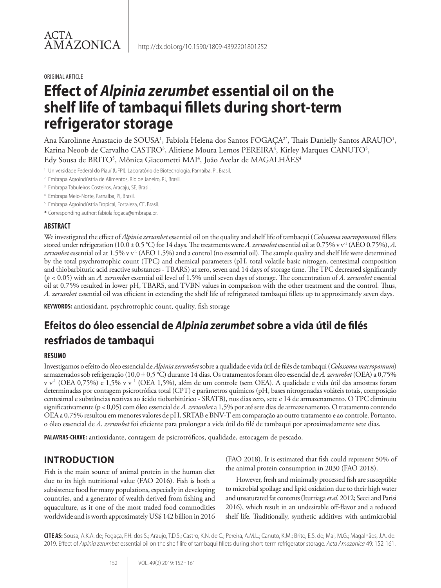#### ORIGINAL ARTICLE

# **Effect of** *Alpinia zerumbet* **essential oil on the shelf life of tambaqui fillets during short-term refrigerator storage**

Ana Karolinne Anastacio de SOUSA<sup>1</sup>, Fabíola Helena dos Santos FOGAÇA<sup>2</sup>\*, Thais Danielly Santos ARAUJO<sup>1</sup>, Karina Neoob de Carvalho CASTRO<sup>3</sup>, Alitiene Moura Lemos PEREIRA<sup>4</sup>, Kirley Marques CANUTO<sup>5</sup>, Edy Sousa de BRITO<sup>5</sup>, Mônica Giacometti MAI<sup>4</sup>, João Avelar de MAGALHÃES<sup>4</sup>

<sup>1</sup> Universidade Federal do Piauí (UFPI), Laboratório de Biotecnologia, Parnaíba, PI, Brasil.

<sup>2</sup> Embrapa Agroindústria de Alimentos, Rio de Janeiro, RJ, Brasil.

<sup>3</sup> Embrapa Tabuleiros Costeiros, Aracaju, SE, Brasil.

- <sup>4</sup> Embrapa Meio-Norte, Parnaíba, PI, Brasil.
- <sup>5</sup> Embrapa Agroindústria Tropical, Fortaleza, CE, Brasil.
- **\*** Corresponding author: fabiola.fogaca@embrapa.br.

### **ABSTRACT**

We investigated the effect of *Alpinia zerumbet* essential oil on the quality and shelf life of tambaqui (*Colossoma macropomum*) fillets stored under refrigeration (10.0 ± 0.5 °C) for 14 days. The treatments were *A. zerumbet* essential oil at 0.75% v v<sup>-1</sup> (AEO 0.75%), *A. zerumbet* essential oil at 1.5% v v-1 (AEO 1.5%) and a control (no essential oil). The sample quality and shelf life were determined by the total psychrotrophic count (TPC) and chemical parameters (pH, total volatile basic nitrogen, centesimal composition and thiobarbituric acid reactive substances - TBARS) at zero, seven and 14 days of storage time. The TPC decreased significantly (*p <* 0.05) with an *A. zerumbet* essential oil level of 1.5% until seven days of storage. The concentration of *A. zerumbet* essential oil at 0.75% resulted in lower pH, TBARS, and TVBN values in comparison with the other treatment and the control. Thus, *A. zerumbet* essential oil was efficient in extending the shelf life of refrigerated tambaqui fillets up to approximately seven days.

**KEYWORDS:** antioxidant, psychrotrophic count, quality, fish storage

## **Efeitos do óleo essencial de** *Alpinia zerumbet* **sobre a vida útil de filés resfriados de tambaqui**

#### **RESUMO**

Investigamos o efeito do óleo essencial de *Alpinia zerumbet* sobre a qualidade e vida útil de filés de tambaqui (*Colossoma macropomum*) armazenados sob refrigeração (10,0 ± 0,5 °C) durante 14 dias. Os tratamentos foram óleo essencial de *A. zerumbet* (OEA) a 0,75% v v-1 (OEA 0,75%) e 1,5% v v 1 (OEA 1,5%), além de um controle (sem OEA). A qualidade e vida útil das amostras foram determinadas por contagem psicrotrófica total (CPT) e parâmetros químicos (pH, bases nitrogenadas voláteis totais, composição centesimal e substâncias reativas ao ácido tiobarbitúrico - SRATB), nos dias zero, sete e 14 de armazenamento. O TPC diminuiu significativamente (p < 0,05) com óleo essencial de *A. zerumbet* a 1,5% por até sete dias de armazenamento. O tratamento contendo OEA a 0,75% resultou em menores valores de pH, SRTAB e BNV-T em comparação ao outro tratamento e ao controle. Portanto, o óleo essencial de *A. zerumbet* foi eficiente para prolongar a vida útil do filé de tambaqui por aproximadamente sete dias.

**PALAVRAS-CHAVE:** antioxidante, contagem de psicrotróficos, qualidade, estocagem de pescado.

## **INTRODUCTION**

Fish is the main source of animal protein in the human diet due to its high nutritional value (FAO 2016). Fish is both a subsistence food for many populations, especially in developing countries, and a generator of wealth derived from fishing and aquaculture, as it one of the most traded food commodities worldwide and is worth approximately US\$ 142 billion in 2016 (FAO 2018). It is estimated that fish could represent 50% of the animal protein consumption in 2030 (FAO 2018).

However, fresh and minimally processed fish are susceptible to microbial spoilage and lipid oxidation due to their high water and unsaturated fat contents (Iturriaga *et al.* 2012; Secci and Parisi 2016), which result in an undesirable off-flavor and a reduced shelf life. Traditionally, synthetic additives with antimicrobial

**CITE AS:** Sousa, A.K.A. de; Fogaça, F.H. dos S.; Araujo, T.D.S.; Castro, K.N. de C.; Pereira, A.M.L.; Canuto, K.M.; Brito, E.S. de; Mai, M.G.; Magalhães, J.A. de. 2019. Effect of *Alpinia zerumbet* essential oil on the shelf life of tambaqui fillets during short-term refrigerator storage. *Acta Amazonica* 49: 152-161.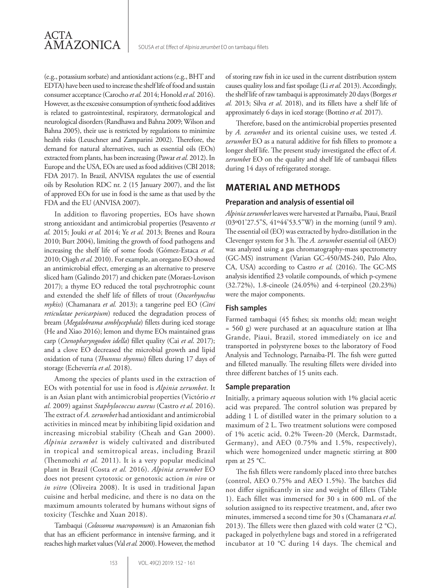

(e.g., potassium sorbate) and antioxidant actions (e.g., BHT and EDTA) have been used to increase the shelf life of food and sustain consumer acceptance (Carocho *et al.* 2014; Honold *et al.* 2016). However, as the excessive consumption of synthetic food additives is related to gastrointestinal, respiratory, dermatological and neurological disorders (Randhawa and Bahna 2009; Wilson and Bahna 2005), their use is restricted by regulations to minimize health risks (Leuschner and Zamparini 2002). Therefore, the demand for natural alternatives, such as essential oils (EOs) extracted from plants, has been increasing (Pawar *et al.* 2012). In Europe and the USA, EOs are used as food additives (CBI 2018; FDA 2017). In Brazil, ANVISA regulates the use of essential oils by Resolution RDC nr. 2 (15 January 2007), and the list of approved EOs for use in food is the same as that used by the FDA and the EU (ANVISA 2007).

In addition to flavoring properties, EOs have shown strong antioxidant and antimicrobial properties (Pesavento *et al.* 2015; Jouki *et al.* 2014; Ye *et al.* 2013; Brenes and Roura 2010; Burt 2004), limiting the growth of food pathogens and increasing the shelf life of some foods (Gómez-Estaca *et al.*  2010; Ojagh *et al.* 2010). For example, an oregano EO showed an antimicrobial effect, emerging as an alternative to preserve sliced ham (Galindo 2017) and chicken pate (Moraes-Lovison 2017); a thyme EO reduced the total psychrotrophic count and extended the shelf life of fillets of trout (*Oncorhynchus mykiss*) (Chamanara *et al.* 2013); a tangerine peel EO (*Citri reticulatae pericarpium*) reduced the degradation process of bream (*Megalobrama amblycephala*) fillets during iced storage (He and Xiao 2016); lemon and thyme EOs maintained grass carp (*Ctenopharyngodon idella*) fillet quality (Cai *et al*. 2017); and a clove EO decreased the microbial growth and lipid oxidation of tuna (*Thunnus thynnus*) fillets during 17 days of storage (Echeverría *et al*. 2018).

Among the species of plants used in the extraction of EOs with potential for use in food is *Alpinia zerumbet*. It is an Asian plant with antimicrobial properties (Victório *et al.* 2009) against *Staphylococcus aureus* (Castro *et al.* 2016). The extract of *A. zerumbet* had antioxidant and antimicrobial activities in minced meat by inhibiting lipid oxidation and increasing microbial stability (Cheah and Gan 2000). *Alpinia zerumbet* is widely cultivated and distributed in tropical and semitropical areas, including Brazil (Thenmozhi *et al.* 2011). It is a very popular medicinal plant in Brazil (Costa *et al.* 2016). *Alpinia zerumbet* EO does not present cytotoxic or genotoxic action *in vivo* or *in vitro* (Oliveira 2008). It is used in traditional Japan cuisine and herbal medicine, and there is no data on the maximum amounts tolerated by humans without signs of toxicity (Teschke and Xuan 2018).

Tambaqui (*Colossoma macropomum*) is an Amazonian fish that has an efficient performance in intensive farming, and it reaches high market values (Val *et al.* 2000). However, the method of storing raw fish in ice used in the current distribution system causes quality loss and fast spoilage (Li *et al.* 2013). Accordingly, the shelf life of raw tambaqui is approximately 20 days (Borges *et al.* 2013; Silva *et al*. 2018), and its fillets have a shelf life of approximately 6 days in iced storage (Bottino *et al.* 2017).

Therefore, based on the antimicrobial properties presented by *A. zerumbet* and its oriental cuisine uses, we tested *A. zerumbet* EO as a natural additive for fish fillets to promote a longer shelf life. The present study investigated the effect of *A. zerumbet* EO on the quality and shelf life of tambaqui fillets during 14 days of refrigerated storage.

## **MATERIAL AND METHODS**

#### **Preparation and analysis of essential oil**

*Alpinia zerumbet* leaves were harvested at Parnaiba, Piaui, Brazil (03º01'27.5"S, 41º44'53.5"W) in the morning (until 9 am). The essential oil (EO) was extracted by hydro-distillation in the Clevenger system for 3 h. The *A. zerumbet* essential oil (AEO) was analyzed using a gas chromatography-mass spectrometry (GC-MS) instrument (Varian GC-450/MS-240, Palo Alto, CA, USA) according to Castro *et al.* (2016). The GC-MS analysis identified 23 volatile compounds, of which p-cymene (32.72%), 1.8-cineole (24.05%) and 4-terpineol (20.23%) were the major components.

## **Fish samples**

Farmed tambaqui (45 fishes; six months old; mean weight = 560 g) were purchased at an aquaculture station at Ilha Grande, Piaui, Brazil, stored immediately on ice and transported in polystyrene boxes to the laboratory of Food Analysis and Technology, Parnaiba-PI. The fish were gutted and filleted manually. The resulting fillets were divided into three different batches of 15 units each.

#### **Sample preparation**

Initially, a primary aqueous solution with 1% glacial acetic acid was prepared. The control solution was prepared by adding 1 L of distilled water in the primary solution to a maximum of 2 L. Two treatment solutions were composed of 1% acetic acid, 0.2% Tween-20 (Merck, Darmstadt, Germany), and AEO (0.75% and 1.5%, respectively), which were homogenized under magnetic stirring at 800 rpm at 25 °C.

The fish fillets were randomly placed into three batches (control, AEO 0.75% and AEO 1.5%). The batches did not differ significantly in size and weight of fillets (Table 1). Each fillet was immersed for 30 s in 600 mL of the solution assigned to its respective treatment, and, after two minutes, immersed a second time for 30 s (Chamanara *et al.*  2013). The fillets were then glazed with cold water  $(2 °C)$ , packaged in polyethylene bags and stored in a refrigerated incubator at 10 °C during 14 days. The chemical and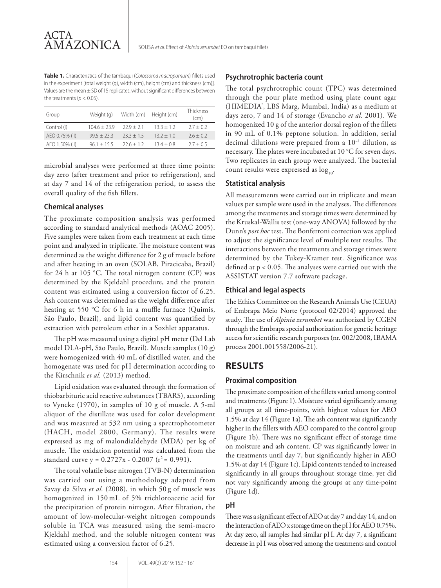**Table 1.** Characteristics of the tambaqui (*Colossoma macropomum*) fillets used in the experiment [total weight (g), width (cm), height (cm) and thickness (cm)]. Values are the mean ± SD of 15 replicates, without significant differences between the treatments ( $p < 0.05$ ).

| Group          | Weight (g)    | Width (cm) | Height (cm)  | Thickness<br>(cm) |
|----------------|---------------|------------|--------------|-------------------|
| Control (I)    | $1046 + 239$  | $229 + 21$ | $133 + 12$   | $27 + 02$         |
| AEO 0.75% (II) | $99.5 + 23.3$ | $733 + 15$ | $13.2 + 1.0$ | $2.6 + 0.2$       |
| AEO 1.50% (II) | $961 + 155$   | $226 + 12$ | $134 + 08$   | $27 + 05$         |
|                |               |            |              |                   |

microbial analyses were performed at three time points: day zero (after treatment and prior to refrigeration), and at day 7 and 14 of the refrigeration period, to assess the overall quality of the fish fillets.

#### **Chemical analyses**

The proximate composition analysis was performed according to standard analytical methods (AOAC 2005). Five samples were taken from each treatment at each time point and analyzed in triplicate. The moisture content was determined as the weight difference for 2 g of muscle before and after heating in an oven (SOLAB, Piracicaba, Brazil) for 24 h at 105 °C. The total nitrogen content (CP) was determined by the Kjeldahl procedure, and the protein content was estimated using a conversion factor of 6.25. Ash content was determined as the weight difference after heating at 550 °C for 6 h in a muffle furnace (Quimis, São Paulo, Brazil), and lipid content was quantified by extraction with petroleum ether in a Soxhlet apparatus.

The pH was measured using a digital pH meter (Del Lab model DLA-pH, São Paulo, Brazil). Muscle samples (10 g) were homogenized with 40 mL of distilled water, and the homogenate was used for pH determination according to the Kirschnik *et al.* (2013) method.

Lipid oxidation was evaluated through the formation of thiobarbituric acid reactive substances (TBARS), according to Vyncke (1970), in samples of 10 g of muscle. A 5-ml aliquot of the distillate was used for color development and was measured at 532 nm using a spectrophotometer (HACH, model 2800, Germany). The results were expressed as mg of malondialdehyde (MDA) per kg of muscle. The oxidation potential was calculated from the standard curve  $y = 0.2727x - 0.2007$  ( $r^2 = 0.991$ ).

The total volatile base nitrogen (TVB-N) determination was carried out using a methodology adapted from Savay da Silva *et al.* (2008), in which 50 g of muscle was homogenized in 150 mL of 5% trichloroacetic acid for the precipitation of protein nitrogen. After filtration, the amount of low-molecular-weight nitrogen compounds soluble in TCA was measured using the semi-macro Kjeldahl method, and the soluble nitrogen content was estimated using a conversion factor of 6.25.

#### **Psychrotrophic bacteria count**

The total psychrotrophic count (TPC) was determined through the pour plate method using plate count agar (HIMEDIA® , LBS Marg, Mumbai, India) as a medium at days zero, 7 and 14 of storage (Evancho *et al.* 2001). We homogenized 10 g of the anterior dorsal region of the fillets in 90 mL of 0.1% peptone solution. In addition, serial decimal dilutions were prepared from a 10−1 dilution, as necessary. The plates were incubated at 10 °C for seven days. Two replicates in each group were analyzed. The bacterial count results were expressed as  $\log_{10}$ .

### **Statistical analysis**

All measurements were carried out in triplicate and mean values per sample were used in the analyses. The differences among the treatments and storage times were determined by the Kruskal-Wallis test (one-way ANOVA) followed by the Dunn's *post hoc* test. The Bonferroni correction was applied to adjust the significance level of multiple test results. The interactions between the treatments and storage times were determined by the Tukey-Kramer test. Significance was defined at p < 0.05. The analyses were carried out with the ASSISTAT version 7.7 software package.

#### **Ethical and legal aspects**

The Ethics Committee on the Research Animals Use (CEUA) of Embrapa Meio Norte (protocol 02/2014) approved the study. The use of *Alpinia zerumbet* was authorized by CGEN through the Embrapa special authorization for genetic heritage access for scientific research purposes (nr. 002/2008, IBAMA process 2001.001558/2006-21).

## **RESULTS**

#### **Proximal composition**

The proximate composition of the fillets varied among control and treatments (Figure 1). Moisture varied significantly among all groups at all time-points, with highest values for AEO 1.5% at day 14 (Figure 1a). The ash content was significantly higher in the fillets with AEO compared to the control group (Figure 1b). There was no significant effect of storage time on moisture and ash content. CP was significantly lower in the treatments until day 7, but significantly higher in AEO 1.5% at day 14 (Figure 1c). Lipid contents tended to increased significantly in all groups throughout storage time, yet did not vary significantly among the groups at any time-point (Figure 1d).

#### **pH**

There was a significant effect of AEO at day 7 and day 14, and on the interaction of AEO x storage time on the pH for AEO 0.75%. At day zero, all samples had similar pH. At day 7, a significant decrease in pH was observed among the treatments and control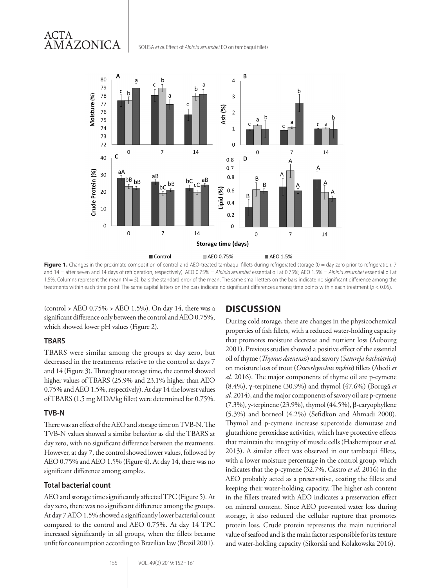## ACTA AMAZONICA

SOUSA *et al.* Effect of *Alpinia zerumbet* EO on tambaqui fillets



**Figure 1.** Changes in the proximate composition of control and AEO-treated tambaqui fillets during refrigerated storage (0 = day zero prior to refrigeration, 7 and 14 = after seven and 14 days of refrigeration, respectively). AEO 0.75% = *Alpinia zerumbet* essential oil at 0.75%; AEO 1.5% = *Alpinia zerumbet* essential oil at 1.5%. Columns represent the mean ( $N = 5$ ), bars the standard error of the mean. The same small letters on the bars indicate no significant difference among the treatments within each time point. The same capital letters on the bars indicate no significant differences among time points within each treatment (*p* < 0.05).

(control > AEO 0.75% > AEO 1.5%). On day 14, there was a significant difference only between the control and AEO 0.75%, which showed lower pH values (Figure 2).

## **TBARS**

TBARS were similar among the groups at day zero, but decreased in the treatments relative to the control at days 7 and 14 (Figure 3). Throughout storage time, the control showed higher values of TBARS (25.9% and 23.1% higher than AEO 0.75% and AEO 1.5%, respectively). At day 14 the lowest values of TBARS (1.5 mg MDA/kg fillet) were determined for 0.75%.

## **TVB-N**

There was an effect of the AEO and storage time on TVB-N. The TVB-N values showed a similar behavior as did the TBARS at day zero, with no significant difference between the treatments. However, at day 7, the control showed lower values, followed by AEO 0.75% and AEO 1.5% (Figure 4). At day 14, there was no significant difference among samples.

## **Total bacterial count**

AEO and storage time significantly affected TPC (Figure 5)*.* At day zero, there was no significant difference among the groups. At day 7 AEO 1.5% showed a significantly lower bacterial count compared to the control and AEO 0.75%. At day 14 TPC increased significantly in all groups, when the fillets became unfit for consumption according to Brazilian law (Brazil 2001).

## **DISCUSSION**

During cold storage, there are changes in the physicochemical properties of fish fillets, with a reduced water-holding capacity that promotes moisture decrease and nutrient loss (Aubourg 2001). Previous studies showed a positive effect of the essential oil of thyme (*Thymus daenensis*) and savory (*Satureja bachtiarica*) on moisture loss of trout (*Oncorhynchus mykiss*) fillets (Abedi *et al.* 2016). The major components of thyme oil are p-cymene (8.4%), γ-terpinene (30.9%) and thymol (47.6%) (Borugã *et al.* 2014), and the major components of savory oil are p-cymene (7.3%), y-terpinene (23.9%), thymol (44.5%), β-caryophyllene (5.3%) and borneol (4.2%) (Sefidkon and Ahmadi 2000). Thymol and p-cymene increase superoxide dismutase and glutathione peroxidase activities, which have protective effects that maintain the integrity of muscle cells (Hashemipour *et al.* 2013). A similar effect was observed in our tambaqui fillets, with a lower moisture percentage in the control group, which indicates that the p-cymene (32.7%, Castro *et al.* 2016) in the AEO probably acted as a preservative, coating the fillets and keeping their water-holding capacity. The higher ash content in the fillets treated with AEO indicates a preservation effect on mineral content. Since AEO prevented water loss during storage, it also reduced the cellular rupture that promotes protein loss. Crude protein represents the main nutritional value of seafood and is the main factor responsible for its texture and water-holding capacity (Sikorski and Kolakowska 2016).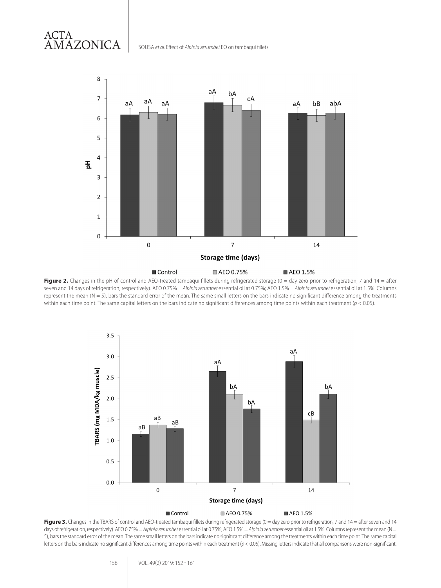#### 8 aA bA  $\overline{7}$ сA aA aA aA aA bB abA 6 5 4 품 3  $\overline{2}$  $\mathbf{1}$ 0  $\overline{7}$  $\overline{0}$ 14 **Storage time (days)** Control □ AEO 0.75% ■ AEO 1.5%

SOUSA *et al.* Effect of *Alpinia zerumbet* EO on tambaqui fillets

ACTA

AMAZONICA

Figure 2. Changes in the pH of control and AEO-treated tambaqui fillets during refrigerated storage (0 = day zero prior to refrigeration, 7 and 14 = after seven and 14 days of refrigeration, respectively). AEO 0.75% = *Alpinia zerumbet* essential oil at 0.75%; AEO 1.5% = *Alpinia zerumbet* essential oil at 1.5%. Columns represent the mean  $(N = 5)$ , bars the standard error of the mean. The same small letters on the bars indicate no significant difference among the treatments within each time point. The same capital letters on the bars indicate no significant differences among time points within each treatment (*p* < 0.05).



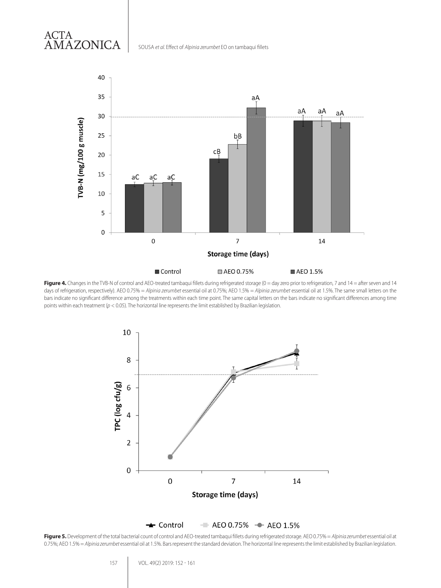

SOUSA *et al.* Effect of *Alpinia zerumbet* EO on tambaqui fillets

ACTA

AMAZONICA

Figure 4. Changes in the TVB-N of control and AEO-treated tambaqui fillets during refrigerated storage (0 = day zero prior to refrigeration, 7 and 14 = after seven and 14 days of refrigeration, respectively). AEO 0.75% = *Alpinia zerumbet* essential oil at 0.75%; AEO 1.5% = *Alpinia zerumbet* essential oil at 1.5%. The same small letters on the bars indicate no significant difference among the treatments within each time point. The same capital letters on the bars indicate no significant differences among time points within each treatment (*p* < 0.05). The horizontal line represents the limit established by Brazilian legislation.





**Figure 5.** Development of the total bacterial count of control and AEO-treated tambaqui fillets during refrigerated storage. AEO 0.75% = *Alpinia zerumbet* essential oil at 0.75%; AEO 1.5% = Alpinia zerumbet essential oil at 1.5%. Bars represent the standard deviation. The horizontal line represents the limit established by Brazilian legislation.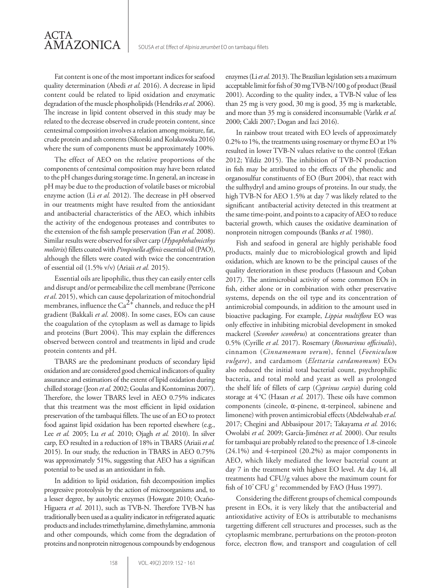Fat content is one of the most important indices for seafood quality determination (Abedi *et al.* 2016). A decrease in lipid content could be related to lipid oxidation and enzymatic degradation of the muscle phospholipids (Hendriks*et al.* 2006). The increase in lipid content observed in this study may be related to the decrease observed in crude protein content, since centesimal composition involves a relation among moisture, fat, crude protein and ash contents (Sikorski and Kolakowska 2016) where the sum of components must be approximately 100%.

The effect of AEO on the relative proportions of the components of centesimal composition may have been related to the pH changes during storage time. In general, an increase in pH may be due to the production of volatile bases or microbial enzyme action (Li *et al.* 2012). The decrease in pH observed in our treatments might have resulted from the antioxidant and antibacterial characteristics of the AEO, which inhibits the activity of the endogenous proteases and contributes to the extension of the fish sample preservation (Fan *et al.* 2008). Similar results were observed for silver carp (*Hypophthalmicthys molitrix*) fillets coated with *Pimpinella affinis*essential oil (PAO), although the fillets were coated with twice the concentration of essential oil (1.5% v/v) (Ariaii *et al.* 2015).

Essential oils are lipophilic, thus they can easily enter cells and disrupt and/or permeabilize the cell membrane (Perricone *et al*. 2015), which can cause depolarization of mitochondrial membranes, influence the Ca<sup>2+</sup> channels, and reduce the pH gradient (Bakkali *et al*. 2008). In some cases, EOs can cause the coagulation of the cytoplasm as well as damage to lipids and proteins (Burt 2004). This may explain the differences observed between control and treatments in lipid and crude protein contents and pH.

TBARS are the predominant products of secondary lipid oxidation and are considered good chemical indicators of quality assurance and estimatiors of the extent of lipid oxidation during chilled storage (Jeon *et al.* 2002; Goulas and Kontominas 2007). Therefore, the lower TBARS level in AEO 0.75% indicates that this treatment was the most efficient in lipid oxidation preservation of the tambaqui fillets. The use of an EO to protect food against lipid oxidation has been reported elsewhere (e.g., Lee *et al.* 2005; Lu *et al.* 2010; Ojagh *et al.* 2010). In silver carp, EO resulted in a reduction of 18% in TBARS (Ariaii *et al.*  2015). In our study, the reduction in TBARS in AEO 0.75% was approximately 51%, suggesting that AEO has a significan potential to be used as an antioxidant in fish.

In addition to lipid oxidation, fish decomposition implies progressive proteolysis by the action of microorganisms and, to a lesser degree, by autolytic enzymes (Howgate 2010; Ocaño-Higuera *et al.* 2011), such as TVB-N. Therefore TVB-N has traditionally been used as a quality indicator in refrigerated aquatic products and includes trimethylamine, dimethylamine, ammonia and other compounds, which come from the degradation of proteins and nonprotein nitrogenous compounds by endogenous enzymes (Li *et al.* 2013). The Brazilian legislation sets a maximum acceptable limit for fish of 30 mg TVB-N/100 g of product (Brasil 2001). According to the quality index, a TVB-N value of less than 25 mg is very good, 30 mg is good, 35 mg is marketable, and more than 35 mg is considered inconsumable (Varlık *et al.*  2000; Cakli 2007; Dogan and Izci 2016).

In rainbow trout treated with EO levels of approximately 0.2% to 1%, the treatments using rosemary or thyme EO at 1% resulted in lower TVB-N values relative to the control (Erkan 2012; Yildiz 2015). The inhibition of TVB-N production in fish may be attributed to the effects of the phenolic and organosulfur constituents of EO (Burt 2004), that react with the sulfhydryl and amino groups of proteins. In our study, the high TVB-N for AEO 1.5% at day 7 was likely related to the significant antibacterial activity detected in this treatment at the same time-point, and points to a capacity of AEO to reduce bacterial growth, which causes the oxidative deamination of nonprotein nitrogen compounds (Banks *et al.* 1980).

Fish and seafood in general are highly perishable food products, mainly due to microbiological growth and lipid oxidation, which are known to be the principal causes of the quality deterioration in these products (Hassoun and Çoban 2017). The antimicrobial activity of some common EOs in fish, either alone or in combination with other preservative systems, depends on the oil type and its concentration of antimicrobial compounds, in addition to the amount used in bioactive packaging. For example, *Lippia multiflora* EO was only effective in inhibiting microbial development in smoked mackerel (*Scomber scombrus*) at concentrations greater than 0.5% (Cyrille *et al.* 2017). Rosemary (*Rosmarinus officinalis*), cinnamon (*Cinnamomum verum*), fennel (*Foeniculum vulgare*), and cardamom (*Elettaria cardamomum*) EOs also reduced the initial total bacterial count, psychrophilic bacteria, and total mold and yeast as well as prolonged the shelf life of fillets of carp (*Cyprinus carpio*) during cold storage at 4°C (Hasan *et al.* 2017). These oils have common components (cineole, α-pinene, α-terpineol, sabinene and limonene) with proven antimicrobial effects (Abdelwahab *et al.*  2017; Chegini and Abbasipour 2017; Takayama *et al.* 2016; Owolabi *et al.* 2009; García-Jiménez *et al.* 2000). Our results for tambaqui are probably related to the presence of 1.8-cineole (24.1%) and 4-terpineol (20.2%) as major components in AEO, which likely mediated the lower bacterial count at day 7 in the treatment with highest EO level. At day 14, all treatments had CFU/g values above the maximum count for fish of 10<sup>7</sup> CFU g<sup>-1</sup> recommended by FAO (Huss 1997).

Considering the different groups of chemical compounds present in EOs, it is very likely that the antibacterial and antioxidative activity of EOs is attributable to mechanisms targetting different cell structures and processes, such as the cytoplasmic membrane, perturbations on the proton-proton force, electron flow, and transport and coagulation of cell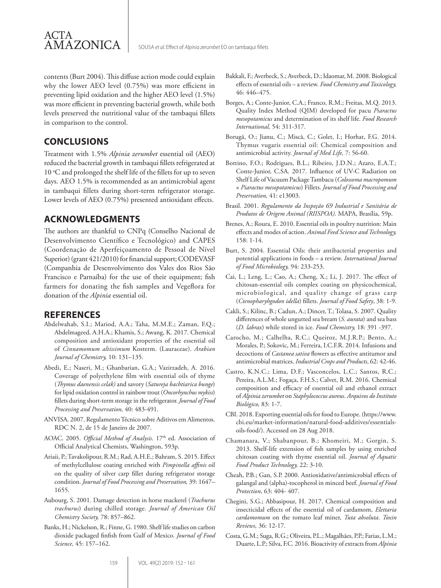

contents (Burt 2004). This diffuse action mode could explain why the lower AEO level (0.75%) was more efficient in preventing lipid oxidation and the higher AEO level (1.5%) was more efficient in preventing bacterial growth, while both levels preserved the nutritional value of the tambaqui fillets in comparison to the control.

## **CONCLUSIONS**

Treatment with 1.5% *Alpinia zerumbet* essential oil (AEO) reduced the bacterial growth in tambaqui fillets refrigerated at 10 °C and prolonged the shelf life of the fillets for up to seven days. AEO 1.5% is recommended as an antimicrobial agent in tambaqui fillets during short-term refrigerator storage. Lower levels of AEO (0.75%) presented antioxidant effects.

## **ACKNOWLEDGMENTS**

The authors are thankful to CNPq (Conselho Nacional de Desenvolvimento Científico e Tecnológico) and CAPES (Coordenação de Aperfeiçoamento de Pessoal de Nível Superior) (grant 421/2010) for financial support; CODEVASF (Companhia de Desenvolvimento dos Vales dos Rios São Francisco e Parnaíba) for the use of their equipment; fish farmers for donating the fish samples and Vegeflora for donation of the *Alpinia* essential oil.

## **REFERENCES**

- Abdelwahab, S.I.; Mariod, A.A.; Taha, M.M.E.; Zaman, F.Q.; Abdelmageed, A.H.A.; Khamis, S.; Awang, K. 2017. Chemical composition and antioxidant properties of the essential oil of *Cinnamomum altissimum* Kosterm. (Lauraceae). *Arabian Journal of Chemistry,* 10: 131–135.
- Abedi, E.; Naseri, M.; Ghanbarian, G.A.; Vazirzadeh, A. 2016. Coverage of polyethylene film with essential oils of thyme (*Thymus daenensis celak)* and savory (*Satureja bachtiarica bunge*) for lipid oxidation control in rainbow trout (*Oncorhynchus mykiss*) fillets during short-term storage in the refrigerator. *Journal of Food Processing and Preservation,* 40: 483-491.
- ANVISA. 2007. Regulamento Técnico sobre Aditivos em Alimentos. RDC N. 2, de 15 de Janeiro de 2007.
- AOAC. 2005. *Official Method of Analysis*. 17<sup>th</sup> ed. Association of Official Analytical Chemists, Washington, 593p.
- Ariaii, P.; Tavakolipour, R.M.; Rad, A.H.E.; Bahram, S. 2015. Effect of methylcellulose coating enriched with *Pimpinella affinis* oil on the quality of silver carp fillet during refrigerator storage condition. *Journal of Food Processing and Preservation,* 39: 1647– 1655.
- Aubourg, S. 2001. Damage detection in horse mackerel (*Trachurus trachurus*) during chilled storage. *Journal of American Oil Chemistry Society,* 78: 857–862.
- Banks, H.; Nickelson, R.; Finne, G. 1980. Shelf life studies on carbon dioxide packaged finfish from Gulf of Mexico. *Journal of Food Science,* 45: 157–162.
- Bakkali, F.; Averbeck, S.; Averbeck, D.; Idaomar, M. 2008. Biological effects of essential oils – a review. *Food Chemistry and Toxicology,*  46: 446–475.
- Borges, A.; Conte-Junior, C.A.; Franco, R.M.; Freitas, M.Q. 2013. Quality Index Method (QIM) developed for pacu *Piaractus mesopotamicus* and determination of its shelf life. *Food Research International,* 54: 311-317.
- Borugã, O.; Jianu, C.; Miscã, C.; Golet, I.; Horhat, F.G. 2014. Thymus vugaris essential oil: Chemical composition and antimicrobial activity. *Journal of Med Life,* 7: 56-60.
- Bottino, F.O.; Rodrigues, B.L.; Ribeiro, J.D.N.; Azaro, E.A.T.; Conte-Junior, C.SA. 2017. Influence of UV-C Radiation on Shelf Life of Vacuum Package Tambacu (*Colossoma macropomum* × *Piaractus mesopotamicus*) Fillets. *Journal of Food Processing and Preservation,* 41: e13003.
- Brasil. 2001. *Regulamento da Inspeção 69 Industrial e Sanitária de Produtos de Origem Animal (RIISPOA).* MAPA, Brasília, 59p.
- Brenes, A.; Roura, E. 2010. Essential oils in poultry nutrition: Main effects and modes of action. *Animal Feed Science and Technology,*  158: 1-14.
- Burt, S. 2004. Essential Oils: their antibacterial properties and potential applications in foods – a review. *International Journal of Food Microbiology,* 94: 233-253.
- Cai, L.; Leng, L.; Cao, A.; Cheng, X.; Li, J. 2017. The effect of chitosan-essential oils complex coating on physicochemical, microbiological, and quality change of grass carp (*Ctenopharyhgodon idella*) fillets. *Journal of Food Safety*, 38: 1-9.
- Cakli, S.; Kilinc, B.; Cadun, A.; Dincer, T.; Tolasa, S. 2007. Quality differences of whole ungutted sea bream (*S. aurata*) and sea bass (*D. labrax*) while stored in ice. *Food Chemistry,* 18: 391 -397.
- Carocho, M.; Calhelha, R.C.; Queiroz, M.J.R.P.; Bento, A.; Morales, P.; Sokovic, M.; Ferreira, I.C.F.R. 2014. Infusions and decoctions of *Castanea sativa* flowers as effective antitumor and antimicrobial matrices. *Industrial Crops and Products*, 62: 42-46.
- Castro, K.N.C.; Lima, D.F.; Vasconcelos, L.C.; Santos, R.C.; Pereira, A.L.M.; Fogaça, F.H.S.; Calvet, R.M. 2016. Chemical composition and efficacy of essential oil and ethanol extract of *Alpinia zerumbet* on *Staphylococcus aureus*. *Arquivos do Instituto Biológico,* 83: 1-7.
- CBI. 2018. Exporting essential oils for food to Europe. (https://www. cbi.eu/market-information/natural-food-additives/essentialsoils-food/). Accessed on 28 Aug 2018.
- Chamanara, V.; Shabanpour, B.; Khomeiri, M.; Gorgin, S. 2013. Shelf-life extension of fish samples by using enriched chitosan coating with thyme essential oil. *Journal of Aquatic Food Product Technology,* 22: 3-10.
- Cheah, P.B.; Gan, S.P. 2000. Antioxidative/antimicrobial effects of galangal and (alpha)-tocopherol in minced beef. *Journal of Food Protection*, 63: 404- 407.
- Chegini, S.G.; Abbasipour, H. 2017. Chemical composition and insecticidal effects of the essential oil of cardamom, *Elettaria cardamomum* on the tomato leaf miner, *Tuta absoluta*. *Toxin Reviews,* 36: 12-17.
- Costa, G.M.; Suga, R.G.; Oliveira, P.L.; Magalhães, P.P.; Farias, L.M.; Duarte, L.P.; Silva, F.C. 2016. Bioactivity of extracts from *Alpinia*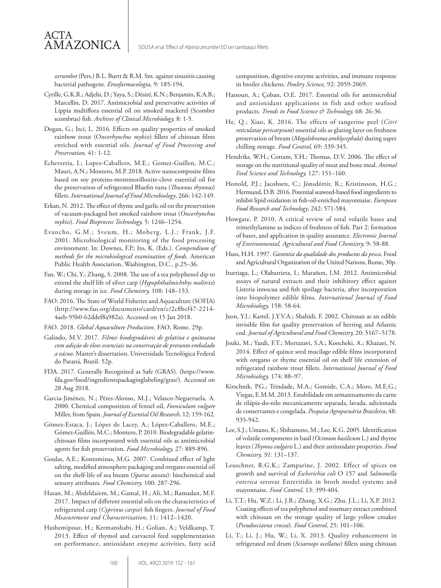*zerumbet* (Pers.) B.L. Burtt & R.M. Sm. against sinusitis causing bacterial pathogens. *Etnofarmacologia,* 9: 185-194.

ACTA

**AMAZONICA** 

- Cyrille, G.K.R.; Adjehi, D.; Yaya, S.; Désiré, K.N.; Benjamin, K.A.B.; Marcellin, D. 2017. Antimicrobial and preservative activities of Lippia multiflora essential oil on smoked mackerel (Scomber scombrus) fish. *Archives of Clinical Microbiology,* 8: 1-5.
- Dogan, G.; Izci, L. 2016. Effects on quality properties of smoked rainbow trout (O*ncorhynchus mykiss*) fillets of chitosan films enriched with essential oils. *Journal of Food Processing and Preservation,* 41: 1-12.
- Echeverria, I.; Lopez-Caballero, M.E.; Gomez-Guillen, M.C.; Mauri, A.N.; Montero, M.P. 2018. Active nanocomposite films based on soy proteins-montmorillonite-clove essential oil for the preservation of refrigerated Bluefin tuna (*Thunnus thynnus*) fillets. *International Journal of Food Microbiology*, 266: 142-149.
- Erkan, N. 2012. The effect of thyme and garlic oil on the preservation of vacuum-packaged hot smoked rainbow trout (*Oncorhynchus mykiss*). *Food Bioprocess Technology,* 5: 1246–1254.
- Evancho, G.M.; Sveum, H.; Moberg, L.J.; Frank, J.F. 2001. Microbiological monitoring of the food processing environment. In: Downes, F.P.; Ito, K. (Eds.). *Compendium of methods for the microbiological examination of foods.* American Public Health Association, Washington, D.C., p.25–36.
- Fan, W.; Chi, Y.; Zhang, S. 2008. The use of a tea polyphenol dip to extend the shelf life of silver carp (*Hypophthalmichthys molitrix*) during storage in ice. *Food Chemistry,* 108: 148–153.
- FAO. 2016. The State of World Fisheries and Aquaculture (SOFIA) (http://www.fao.org/documents/card/en/c/2c8bcf47-2214- 4aeb-95b0-62ddef8a982a). Accessed on 15 Jan 2018.
- FAO. 2018. *Global Aquaculture Production*. FAO, Rome. 29p.
- Galindo, M.V. 2017. *Filmes biodegradáveis de gelatina e quitosana com adição de óleos essenciais na conservação de presunto embalado a vácuo*. Master's dissertation. Universidade Tecnológica Federal do Paraná, Brazil. 52p.
- FDA. 2017. Generally Recognized as Safe (GRAS). (https://www. fda.gov/food/ingredientspackaginglabeling/gras/). Accessed on 28 Aug 2018.
- Garcia-Jiménez, N.; Péres-Alonso, M.J.; Velasco-Negueruela, A. 2000. Chemical composition of fennel oil, *Foeniculum vulgare* Miller, from Spain. *Journal of Essential Oil Research,* 12: 159-162.
- Gómez-Estaca, J.; López de Lacey, A.; López-Caballero, M.E.; Gómez-Guillén, M.C.; Montero, P. 2010. Biodegradable gelatinchitosan films incorporated with essential oils as antimicrobial agents for fish preservation. *Food Microbiology,* 27: 889-896.
- Goulas, A.E.; Kontominas, M.G. 2007. Combined effect of light salting, modified atmosphere packaging and oregano essential oil on the shelf-life of sea bream (*Sparus aurata*): biochemical and sensory attributes. *Food Chemistry,* 100: 287-296.
- Hasan, M.; Abdeldaiem, M.; Gamal, H.; Ali, M.; Ramadan, M.F. 2017. Impact of different essential oils on the characteristics of refrigerated carp (*Cyprinus carpio*) fish fingers. *Journal of Food Measurement and Characterization*, 11: 1412–1420.
- Hashemipour, H.; Kermanshabi, H.; Golian, A.; Veldkamp, T. 2013. Effect of thymol and carvacrol feed supplementation on performance, antioxidant enzyme activities, fatty acid

composition, digestive enzyme activities, and immune response in broiler chickens. *Poultry Science,* 92: 2059-2069.

- Hassoun, A.; Çoban, O.E. 2017. Essential oils for antimicrobial and antioxidant applications in fish and other seafood products. *Trends in Food Science & Technology,* 68: 26-36.
- He, Q.; Xiao, K. 2016. The effects of tangerine peel (*Citri reticulatae pericarpium*) essential oils as glazing layer on freshness preservation of bream (*Megalobrama amblycephala*) during super chilling storage. *Food Control,* 69: 339-345.
- Hendriks, W.H.; Cottam, Y.H.; Thomas, D.V. 2006. The effect of storage on the nutritional quality of meat and bone meal. *Animal Feed Science and Technology,* 127: 151–160.
- Honold, P.J.; Jacobsen, C.; Jónsdóttir, R.; Kristinsson, H.G.; Hermund, D.B. 2016. Potential seaweed-based food ingredients to inhibit lipid oxidation in fish-oil-enriched mayonnaise. *European Food Research and Technology*, 242: 571-584.
- Howgate, P. 2010. A critical review of total volatile bases and trimethylamine as indices of freshness of fish. Part 2: formation of bases, and application in quality assurance. *Electronic Journal of Environmental, Agricultural and Food Chemistry,* 9: 58-88.
- Huss, H.H. 1997. *Garantia da qualidade dos productos da pesca*. Food and Agricultural Organization of the United Nations, Rome, 30p.
- Iturriaga, L.; Olabarrieta, I.; Marañon, I.M. 2012. Antimicrobial assays of natural extracts and their inhibitory effect against Listeria innocua and fish spoilage bacteria, after incorporation into biopolymer edible films. *International Journal of Food Microbiology,* 158: 58-64.
- Jeon, Y.I.; Kamil, J.Y.V.A.; Shahidi, F. 2002. Chitosan as an edible invisible film for quality preservation of herring and Atlantic cod. *Journal of Agricultural and Food Chemistry,* 20: 5167–5178.
- Jouki, M.; Yazdi, F.T.; Mortazavi, S.A.; Koocheki, A.; Khazaei, N. 2014. Effect of quince seed mucilage edible films incorporated with oregano or thyme essential oil on shelf life extension of refrigerated rainbow trout fillets. *International Journal of Food Microbiology,* 174: 88–97.
- Kirschnik, P.G.; Trindade, M.A.; Gomide, C.A.; Moro, M.E.G.; Viegas, E.M.M. 2013. Estabilidade em armazenamento da carne de tilápia-do-nilo mecanicamente separada, lavada, adicionada de conservantes e congelada. *Pesquisa Agropecuária Brasileira*, 48: 935-942.
- Lee, S.J.; Umano, K.; Shibamoto, M.; Lee, K.G. 2005. Identification of volatile components in basil (*Ocimum basilicum* L.) and thyme leaves (*Thymus vulgaris* L.) and their antioxidant properties. *Food Chemistry, 91:* 131–137.
- Leuschner, R.G.K.; Zamparine, J. 2002. Effect of spices on growth and survival of *Escherichia coli* O 157 and *Salmonella enterica* serovar Enteritidis in broth model systems and mayonnaise. *Food Control,* 13: 399-404.
- Li, T.T.; Hu, W.Z.; Li, J.R.; Zhang, X.G.; Zhu, J.L.; Li, X.P. 2012. Coating effects of tea polyphenol and rosemary extract combined with chitosan on the storage quality of large yellow croaker (*Pseudosciaena crocea*). *Food Control,* 25: 101–106.
- Li, T.; Li, J.; Hu, W.; Li, X. 2013. Quality enhancement in refrigerated red drum (*Sciaenops ocellatus*) fillets using chitosan